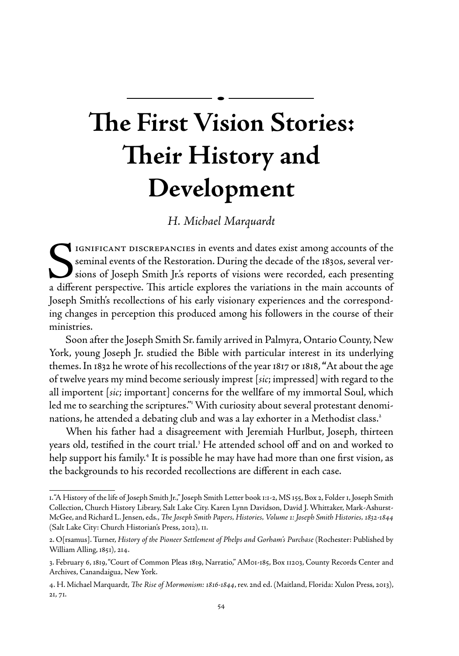# **The First Vision Stories: Their History and Development**

# *H. Michael Marquardt*

IGNIFICANT DISCREPANCIES in events and dates exist among accounts of the seminal events of the Restoration. During the decade of the 1830s, several versions of Joseph Smith Jr.'s reports of visions were recorded, each presenting a different perspective. This article explores the variations in the main accounts of Joseph Smith's recollections of his early visionary experiences and the corresponding changes in perception this produced among his followers in the course of their ministries.

Soon after the Joseph Smith Sr. family arrived in Palmyra, Ontario County, New York, young Joseph Jr. studied the Bible with particular interest in its underlying themes. In 1832 he wrote of his recollections of the year 1817 or 1818, **"**At about the age of twelve years my mind become seriously imprest [*sic*; impressed] with regard to the all importent [*sic*; important] concerns for the wellfare of my immortal Soul, which led me to searching the scriptures." With curiosity about several protestant denominations, he attended a debating club and was a lay exhorter in a Methodist class.<sup>2</sup>

When his father had a disagreement with Jeremiah Hurlbut, Joseph, thirteen years old, testified in the court trial.<sup>3</sup> He attended school off and on and worked to help support his family.<sup>4</sup> It is possible he may have had more than one first vision, as the backgrounds to his recorded recollections are different in each case.

<sup>1. &</sup>quot;A History of the life of Joseph Smith Jr.," Joseph Smith Letter book 1:1-2, MS 155, Box 2, Folder 1, Joseph Smith Collection, Church History Library, Salt Lake City. Karen Lynn Davidson, David J. Whittaker, Mark-Ashurst-McGee, and Richard L. Jensen, eds., *The Joseph Smith Papers, Histories, Volume 1: Joseph Smith Histories, 1832-1844* (Salt Lake City: Church Historian's Press, 2012), 11.

<sup>2.</sup> O[rsamus]. Turner, *History of the Pioneer Settlement of Phelps and Gorham's Purchase* (Rochester: Published by William Alling, 1851), 214.

<sup>3.</sup> February 6, 1819, "Court of Common Pleas 1819, Narratio," AM01-185, Box 11203, County Records Center and Archives, Canandaigua, New York.

<sup>4.</sup> H. Michael Marquardt, *The Rise of Mormonism: 1816-1844*, rev. 2nd ed. (Maitland, Florida: Xulon Press, 2013), 21, 71.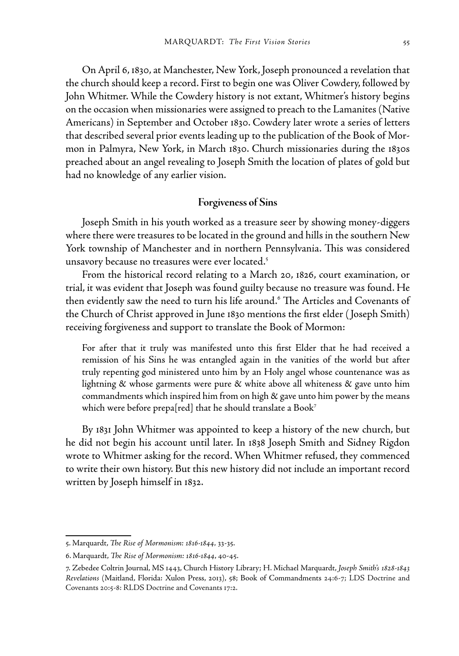On April 6, 1830, at Manchester, New York, Joseph pronounced a revelation that the church should keep a record. First to begin one was Oliver Cowdery, followed by John Whitmer. While the Cowdery history is not extant, Whitmer's history begins on the occasion when missionaries were assigned to preach to the Lamanites (Native Americans) in September and October 1830. Cowdery later wrote a series of letters that described several prior events leading up to the publication of the Book of Mormon in Palmyra, New York, in March 1830. Church missionaries during the 1830s preached about an angel revealing to Joseph Smith the location of plates of gold but had no knowledge of any earlier vision.

### **Forgiveness of Sins**

Joseph Smith in his youth worked as a treasure seer by showing money-diggers where there were treasures to be located in the ground and hills in the southern New York township of Manchester and in northern Pennsylvania. This was considered unsavory because no treasures were ever located.<sup>5</sup>

From the historical record relating to a March 20, 1826, court examination, or trial, it was evident that Joseph was found guilty because no treasure was found. He then evidently saw the need to turn his life around.<sup>6</sup> The Articles and Covenants of the Church of Christ approved in June 1830 mentions the first elder ( Joseph Smith) receiving forgiveness and support to translate the Book of Mormon:

For after that it truly was manifested unto this first Elder that he had received a remission of his Sins he was entangled again in the vanities of the world but after truly repenting god ministered unto him by an Holy angel whose countenance was as lightning & whose garments were pure & white above all whiteness & gave unto him commandments which inspired him from on high & gave unto him power by the means which were before prepa[red] that he should translate a Book<sup>7</sup>

By 1831 John Whitmer was appointed to keep a history of the new church, but he did not begin his account until later. In 1838 Joseph Smith and Sidney Rigdon wrote to Whitmer asking for the record. When Whitmer refused, they commenced to write their own history. But this new history did not include an important record written by Joseph himself in 1832.

<sup>5.</sup> Marquardt, *The Rise of Mormonism: 1816-1844,* 33-35.

<sup>6.</sup> Marquardt, *The Rise of Mormonism: 1816-1844*, 40-45.

<sup>7.</sup> Zebedee Coltrin Journal, MS 1443, Church History Library; H. Michael Marquardt, *Joseph Smith's 1828-1843 Revelations* (Maitland, Florida: Xulon Press, 2013), 58; Book of Commandments 24:6-7; LDS Doctrine and Covenants 20:5-8: RLDS Doctrine and Covenants 17:2.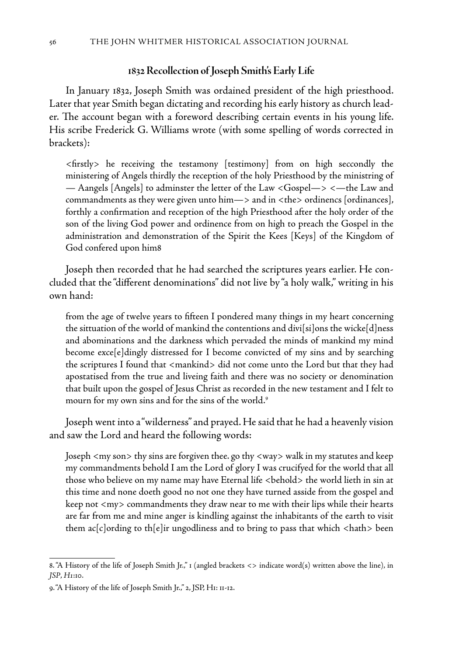#### **1832 Recollection of Joseph Smith's Early Life**

In January 1832, Joseph Smith was ordained president of the high priesthood. Later that year Smith began dictating and recording his early history as church leader. The account began with a foreword describing certain events in his young life. His scribe Frederick G. Williams wrote (with some spelling of words corrected in brackets):

<firstly> he receiving the testamony [testimony] from on high seccondly the ministering of Angels thirdly the reception of the holy Priesthood by the ministring of — Aangels [Angels] to adminster the letter of the Law <Gospel—> <—the Law and commandments as they were given unto him—> and in <the> ordinencs [ordinances], forthly a confirmation and reception of the high Priesthood after the holy order of the son of the living God power and ordinence from on high to preach the Gospel in the administration and demonstration of the Spirit the Kees [Keys] of the Kingdom of God confered upon him8

Joseph then recorded that he had searched the scriptures years earlier. He concluded that the "different denominations" did not live by "a holy walk," writing in his own hand:

from the age of twelve years to fifteen I pondered many things in my heart concerning the sittuation of the world of mankind the contentions and divi[si]ons the wicke[d]ness and abominations and the darkness which pervaded the minds of mankind my mind become exce[e]dingly distressed for I become convicted of my sins and by searching the scriptures I found that <mankind> did not come unto the Lord but that they had apostatised from the true and liveing faith and there was no society or denomination that built upon the gospel of Jesus Christ as recorded in the new testament and I felt to mourn for my own sins and for the sins of the world.<sup>9</sup>

Joseph went into a "wilderness" and prayed. He said that he had a heavenly vision and saw the Lord and heard the following words:

Joseph <my son> thy sins are forgiven thee. go thy <way> walk in my statutes and keep my commandments behold I am the Lord of glory I was crucifyed for the world that all those who believe on my name may have Eternal life <behold> the world lieth in sin at this time and none doeth good no not one they have turned asside from the gospel and keep not <my> commandments they draw near to me with their lips while their hearts are far from me and mine anger is kindling against the inhabitants of the earth to visit them ac[c]ording to th[e]ir ungodliness and to bring to pass that which <hath> been

<sup>8. &</sup>quot;A History of the life of Joseph Smith Jr.," 1 (angled brackets <> indicate word(s) written above the line), in *JSP*, *H1*:10.

<sup>9. &</sup>quot;A History of the life of Joseph Smith Jr.," 2, JSP, H1: 11-12.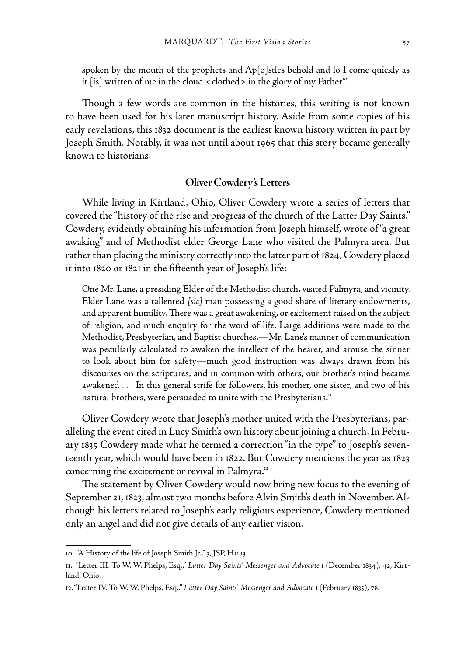spoken by the mouth of the prophets and Ap[o]stles behold and lo I come quickly as it [is] written of me in the cloud  $\langle$  clothed $\rangle$  in the glory of my Father $\Gamma$ <sup>o</sup>

Though a few words are common in the histories, this writing is not known to have been used for his later manuscript history. Aside from some copies of his early revelations, this 1832 document is the earliest known history written in part by Joseph Smith. Notably, it was not until about 1965 that this story became generally known to historians.

## **Oliver Cowdery's Letters**

While living in Kirtland, Ohio, Oliver Cowdery wrote a series of letters that covered the "history of the rise and progress of the church of the Latter Day Saints." Cowdery, evidently obtaining his information from Joseph himself, wrote of "a great awaking" and of Methodist elder George Lane who visited the Palmyra area. But rather than placing the ministry correctly into the latter part of 1824, Cowdery placed it into 1820 or 1821 in the fifteenth year of Joseph's life:

One Mr. Lane, a presiding Elder of the Methodist church, visited Palmyra, and vicinity. Elder Lane was a tallented *[sic]* man possessing a good share of literary endowments, and apparent humility. There was a great awakening, or excitement raised on the subject of religion, and much enquiry for the word of life. Large additions were made to the Methodist, Presbyterian, and Baptist churches.—Mr. Lane's manner of communication was peculiarly calculated to awaken the intellect of the hearer, and arouse the sinner to look about him for safety—much good instruction was always drawn from his discourses on the scriptures, and in common with others, our brother's mind became awakened . . . In this general strife for followers, his mother, one sister, and two of his natural brothers, were persuaded to unite with the Presbyterians.<sup>11</sup>

Oliver Cowdery wrote that Joseph's mother united with the Presbyterians, paralleling the event cited in Lucy Smith's own history about joining a church. In February 1835 Cowdery made what he termed a correction "in the type" to Joseph's seventeenth year, which would have been in 1822. But Cowdery mentions the year as 1823 concerning the excitement or revival in Palmyra.<sup>12</sup>

The statement by Oliver Cowdery would now bring new focus to the evening of September 21, 1823, almost two months before Alvin Smith's death in November. Although his letters related to Joseph's early religious experience, Cowdery mentioned only an angel and did not give details of any earlier vision.

<sup>10. &</sup>quot;A History of the life of Joseph Smith Jr.," 3, JSP, H1: 13.

<sup>11. &</sup>quot;Letter III. To W. W. Phelps, Esq.," *Latter Day Saints' Messenger and Advocate* 1 (December 1834), 42, Kirtland, Ohio.

<sup>12. &</sup>quot;Letter IV. To W. W. Phelps, Esq.," *Latter Day Saints' Messenger and Advocate* 1 (February 1835), 78.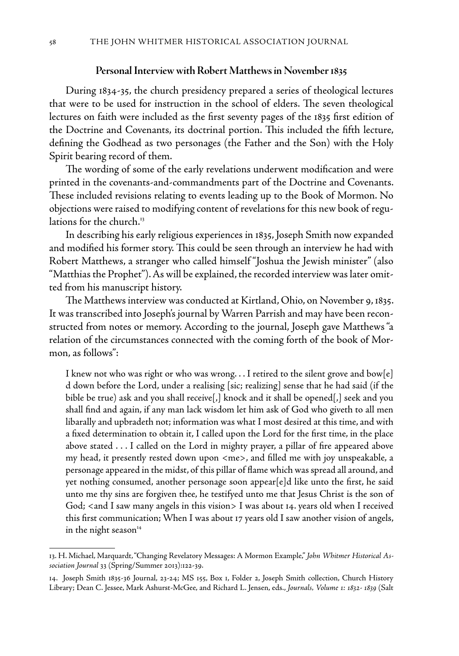#### **Personal Interview with Robert Matthews in November 1835**

During 1834-35, the church presidency prepared a series of theological lectures that were to be used for instruction in the school of elders. The seven theological lectures on faith were included as the first seventy pages of the 1835 first edition of the Doctrine and Covenants, its doctrinal portion. This included the fifth lecture, defining the Godhead as two personages (the Father and the Son) with the Holy Spirit bearing record of them.

The wording of some of the early revelations underwent modification and were printed in the covenants-and-commandments part of the Doctrine and Covenants. These included revisions relating to events leading up to the Book of Mormon. No objections were raised to modifying content of revelations for this new book of regulations for the church.<sup>13</sup>

In describing his early religious experiences in 1835, Joseph Smith now expanded and modified his former story. This could be seen through an interview he had with Robert Matthews, a stranger who called himself "Joshua the Jewish minister" (also "Matthias the Prophet"). As will be explained, the recorded interview was later omitted from his manuscript history.

The Matthews interview was conducted at Kirtland, Ohio, on November 9, 1835. It was transcribed into Joseph's journal by Warren Parrish and may have been reconstructed from notes or memory. According to the journal, Joseph gave Matthews "a relation of the circumstances connected with the coming forth of the book of Mormon, as follows":

I knew not who was right or who was wrong... I retired to the silent grove and bow[e] d down before the Lord, under a realising [sic; realizing] sense that he had said (if the bible be true) ask and you shall receive[,] knock and it shall be opened[,] seek and you shall find and again, if any man lack wisdom let him ask of God who giveth to all men libarally and upbradeth not; information was what I most desired at this time, and with a fixed determination to obtain it, I called upon the Lord for the first time, in the place above stated . . . I called on the Lord in mighty prayer, a pillar of fire appeared above my head, it presently rested down upon <me>, and filled me with joy unspeakable, a personage appeared in the midst, of this pillar of flame which was spread all around, and yet nothing consumed, another personage soon appear[e]d like unto the first, he said unto me thy sins are forgiven thee, he testifyed unto me that Jesus Christ is the son of God; <and I saw many angels in this vision> I was about 14. years old when I received this first communication; When I was about 17 years old I saw another vision of angels, in the night season<sup>14</sup>

<sup>13.</sup> H. Michael, Marquardt, "Changing Revelatory Messages: A Mormon Example," *John Whitmer Historical Association Journal* 33 (Spring/Summer 2013):122-39.

<sup>14.</sup> Joseph Smith 1835-36 Journal, 23-24; MS 155, Box 1, Folder 2, Joseph Smith collection, Church History Library; Dean C. Jessee, Mark Ashurst-McGee, and Richard L. Jensen, eds., *Journals, Volume 1: 1832- 1839* (Salt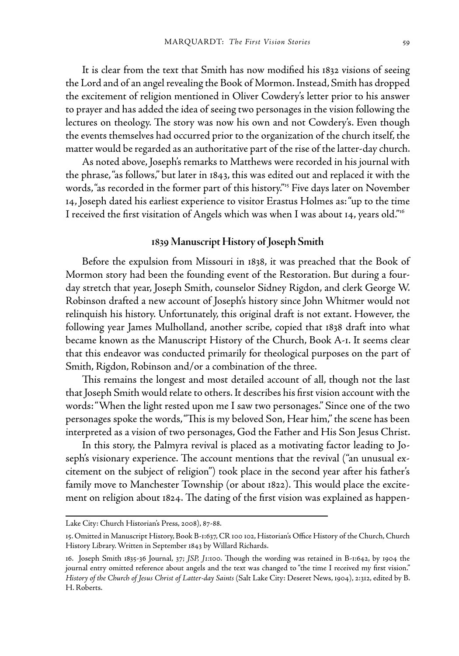It is clear from the text that Smith has now modified his 1832 visions of seeing the Lord and of an angel revealing the Book of Mormon. Instead, Smith has dropped the excitement of religion mentioned in Oliver Cowdery's letter prior to his answer to prayer and has added the idea of seeing two personages in the vision following the lectures on theology. The story was now his own and not Cowdery's. Even though the events themselves had occurred prior to the organization of the church itself, the matter would be regarded as an authoritative part of the rise of the latter-day church.

As noted above, Joseph's remarks to Matthews were recorded in his journal with the phrase, "as follows," but later in 1843, this was edited out and replaced it with the words, "as recorded in the former part of this history."<sup>15</sup> Five days later on November 14, Joseph dated his earliest experience to visitor Erastus Holmes as: "up to the time I received the first visitation of Angels which was when I was about 14, years old."16

## **1839 Manuscript History of Joseph Smith**

Before the expulsion from Missouri in 1838, it was preached that the Book of Mormon story had been the founding event of the Restoration. But during a fourday stretch that year, Joseph Smith, counselor Sidney Rigdon, and clerk George W. Robinson drafted a new account of Joseph's history since John Whitmer would not relinquish his history. Unfortunately, this original draft is not extant. However, the following year James Mulholland, another scribe, copied that 1838 draft into what became known as the Manuscript History of the Church, Book A-1. It seems clear that this endeavor was conducted primarily for theological purposes on the part of Smith, Rigdon, Robinson and/or a combination of the three.

This remains the longest and most detailed account of all, though not the last that Joseph Smith would relate to others. It describes his first vision account with the words: "When the light rested upon me I saw two personages." Since one of the two personages spoke the words, "This is my beloved Son, Hear him," the scene has been interpreted as a vision of two personages, God the Father and His Son Jesus Christ.

In this story, the Palmyra revival is placed as a motivating factor leading to Joseph's visionary experience. The account mentions that the revival ("an unusual excitement on the subject of religion") took place in the second year after his father's family move to Manchester Township (or about 1822). This would place the excitement on religion about 1824. The dating of the first vision was explained as happen-

Lake City: Church Historian's Press, 2008), 87-88.

<sup>15.</sup> Omitted in Manuscript History, Book B-1:637, CR 100 102, Historian's Office History of the Church, Church History Library. Written in September 1843 by Willard Richards.

<sup>16.</sup> Joseph Smith 1835-36 Journal, 37; *JSP, J1:*100. Though the wording was retained in B-1:642, by 1904 the journal entry omitted reference about angels and the text was changed to "the time I received my first vision." *History of the Church of Jesus Christ of Latter-day Saints* (Salt Lake City: Deseret News, 1904), 2:312, edited by B. H. Roberts.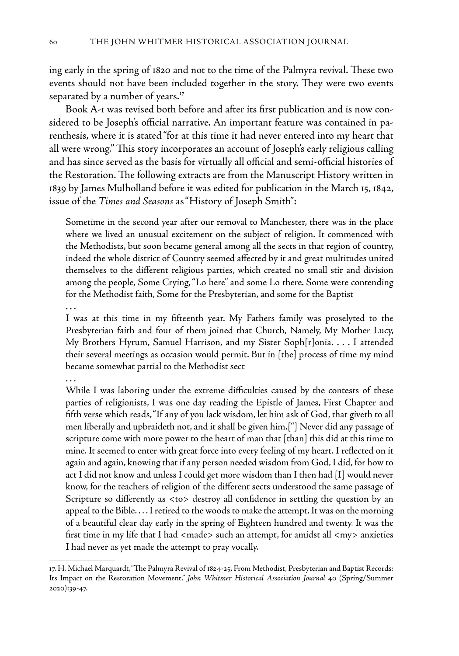ing early in the spring of 1820 and not to the time of the Palmyra revival. These two events should not have been included together in the story. They were two events separated by a number of years.<sup>17</sup>

Book A-1 was revised both before and after its first publication and is now considered to be Joseph's official narrative. An important feature was contained in parenthesis, where it is stated "for at this time it had never entered into my heart that all were wrong." This story incorporates an account of Joseph's early religious calling and has since served as the basis for virtually all official and semi-official histories of the Restoration. The following extracts are from the Manuscript History written in 1839 by James Mulholland before it was edited for publication in the March 15, 1842, issue of the *Times and Seasons* as "History of Joseph Smith":

Sometime in the second year after our removal to Manchester, there was in the place where we lived an unusual excitement on the subject of religion. It commenced with the Methodists, but soon became general among all the sects in that region of country, indeed the whole district of Country seemed affected by it and great multitudes united themselves to the different religious parties, which created no small stir and division among the people, Some Crying, "Lo here" and some Lo there. Some were contending for the Methodist faith, Some for the Presbyterian, and some for the Baptist

## . . .

I was at this time in my fifteenth year. My Fathers family was proselyted to the Presbyterian faith and four of them joined that Church, Namely, My Mother Lucy, My Brothers Hyrum, Samuel Harrison, and my Sister Soph[r]onia. . . . I attended their several meetings as occasion would permit. But in [the] process of time my mind became somewhat partial to the Methodist sect

# . . .

While I was laboring under the extreme difficulties caused by the contests of these parties of religionists, I was one day reading the Epistle of James, First Chapter and fifth verse which reads, "If any of you lack wisdom, let him ask of God, that giveth to all men liberally and upbraideth not, and it shall be given him.["] Never did any passage of scripture come with more power to the heart of man that [than] this did at this time to mine. It seemed to enter with great force into every feeling of my heart. I reflected on it again and again, knowing that if any person needed wisdom from God, I did, for how to act I did not know and unless I could get more wisdom than I then had [I] would never know, for the teachers of religion of the different sects understood the same passage of Scripture so differently as <to> destroy all confidence in settling the question by an appeal to the Bible. . . . I retired to the woods to make the attempt. It was on the morning of a beautiful clear day early in the spring of Eighteen hundred and twenty. It was the first time in my life that I had <made> such an attempt, for amidst all <my> anxieties I had never as yet made the attempt to pray vocally.

<sup>17.</sup> H. Michael Marquardt, "The Palmyra Revival of 1824-25, From Methodist, Presbyterian and Baptist Records: Its Impact on the Restoration Movement," *John Whitmer Historical Association Journal* 40 (Spring/Summer 2020):39-47.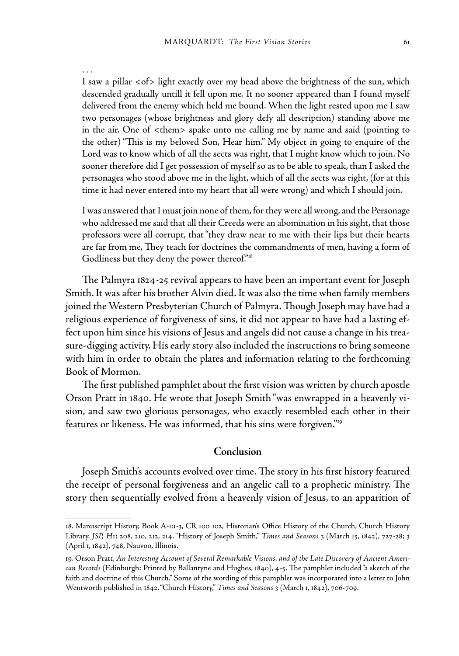. . .

I saw a pillar <of> light exactly over my head above the brightness of the sun, which descended gradually untill it fell upon me. It no sooner appeared than I found myself delivered from the enemy which held me bound. When the light rested upon me I saw two personages (whose brightness and glory defy all description) standing above me in the air. One of <them> spake unto me calling me by name and said (pointing to the other) "This is my beloved Son, Hear him." My object in going to enquire of the Lord was to know which of all the sects was right, that I might know which to join. No sooner therefore did I get possession of myself so as to be able to speak, than I asked the personages who stood above me in the light, which of all the sects was right, (for at this time it had never entered into my heart that all were wrong) and which I should join.

I was answered that I must join none of them, for they were all wrong, and the Personage who addressed me said that all their Creeds were an abomination in his sight, that those professors were all corrupt, that "they draw near to me with their lips but their hearts are far from me, They teach for doctrines the commandments of men, having a form of Godliness but they deny the power thereof."18

The Palmyra 1824-25 revival appears to have been an important event for Joseph Smith. It was after his brother Alvin died. It was also the time when family members joined the Western Presbyterian Church of Palmyra. Though Joseph may have had a religious experience of forgiveness of sins, it did not appear to have had a lasting effect upon him since his visions of Jesus and angels did not cause a change in his treasure-digging activity. His early story also included the instructions to bring someone with him in order to obtain the plates and information relating to the forthcoming Book of Mormon.

The first published pamphlet about the first vision was written by church apostle Orson Pratt in 1840. He wrote that Joseph Smith "was enwrapped in a heavenly vision, and saw two glorious personages, who exactly resembled each other in their features or likeness. He was informed, that his sins were forgiven."19

#### **Conclusion**

Joseph Smith's accounts evolved over time. The story in his first history featured the receipt of personal forgiveness and an angelic call to a prophetic ministry. The story then sequentially evolved from a heavenly vision of Jesus, to an apparition of

<sup>18.</sup> Manuscript History, Book A-1:1-3, CR 100 102, Historian's Office History of the Church, Church History Library. *JSP, H1*: 208, 210, 212, 214."History of Joseph Smith," *Times and Seasons* 3 (March 15, 1842), 727-28; 3 (April 1, 1842), 748, Nauvoo, Illinois.

<sup>19.</sup> Orson Pratt, *An Interesting Account of Several Remarkable Visions, and of the Late Discovery of Ancient American Records* (Edinburgh: Printed by Ballantyne and Hughes, 1840), 4-5. The pamphlet included "a sketch of the faith and doctrine of this Church." Some of the wording of this pamphlet was incorporated into a letter to John Wentworth published in 1842. "Church History," *Times and Seasons* 3 (March 1, 1842), 706-709.